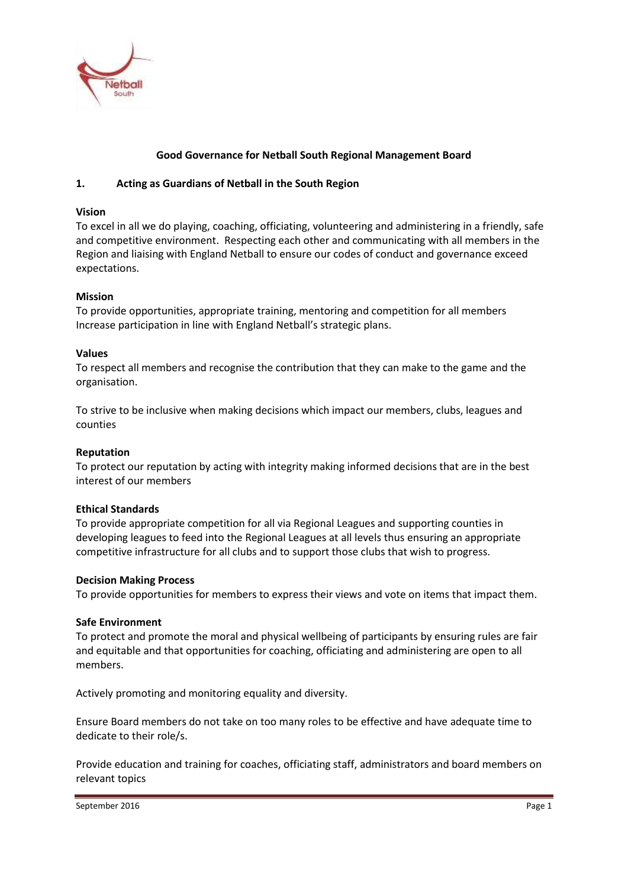

## **Good Governance for Netball South Regional Management Board**

## **1. Acting as Guardians of Netball in the South Region**

### **Vision**

To excel in all we do playing, coaching, officiating, volunteering and administering in a friendly, safe and competitive environment. Respecting each other and communicating with all members in the Region and liaising with England Netball to ensure our codes of conduct and governance exceed expectations.

## **Mission**

To provide opportunities, appropriate training, mentoring and competition for all members Increase participation in line with England Netball's strategic plans.

#### **Values**

To respect all members and recognise the contribution that they can make to the game and the organisation.

To strive to be inclusive when making decisions which impact our members, clubs, leagues and counties

## **Reputation**

To protect our reputation by acting with integrity making informed decisions that are in the best interest of our members

## **Ethical Standards**

To provide appropriate competition for all via Regional Leagues and supporting counties in developing leagues to feed into the Regional Leagues at all levels thus ensuring an appropriate competitive infrastructure for all clubs and to support those clubs that wish to progress.

#### **Decision Making Process**

To provide opportunities for members to express their views and vote on items that impact them.

#### **Safe Environment**

To protect and promote the moral and physical wellbeing of participants by ensuring rules are fair and equitable and that opportunities for coaching, officiating and administering are open to all members.

Actively promoting and monitoring equality and diversity.

Ensure Board members do not take on too many roles to be effective and have adequate time to dedicate to their role/s.

Provide education and training for coaches, officiating staff, administrators and board members on relevant topics

September 2016 Page 1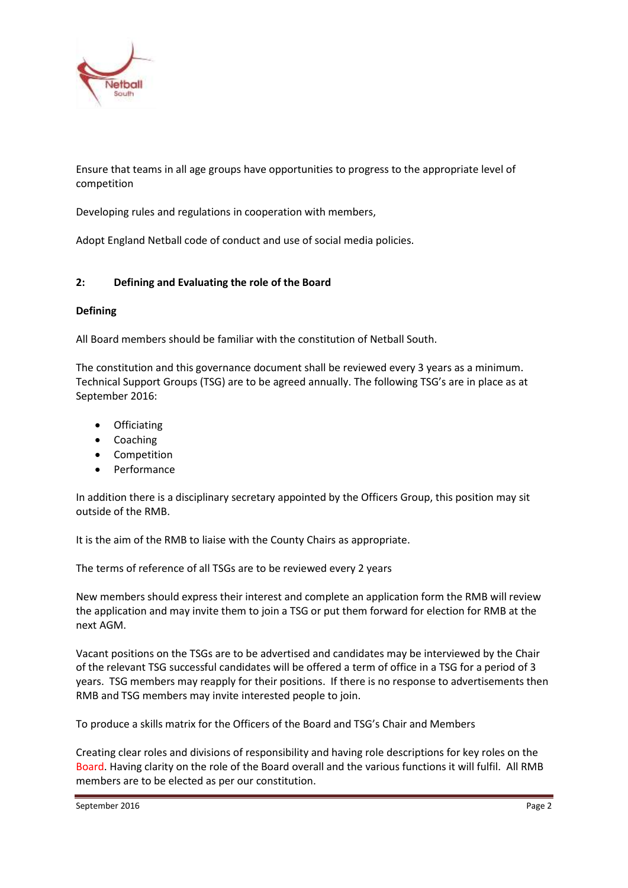

Ensure that teams in all age groups have opportunities to progress to the appropriate level of competition

Developing rules and regulations in cooperation with members,

Adopt England Netball code of conduct and use of social media policies.

## **2: Defining and Evaluating the role of the Board**

## **Defining**

All Board members should be familiar with the constitution of Netball South.

The constitution and this governance document shall be reviewed every 3 years as a minimum. Technical Support Groups (TSG) are to be agreed annually. The following TSG's are in place as at September 2016:

- **Officiating**
- Coaching
- Competition
- Performance

In addition there is a disciplinary secretary appointed by the Officers Group, this position may sit outside of the RMB.

It is the aim of the RMB to liaise with the County Chairs as appropriate.

The terms of reference of all TSGs are to be reviewed every 2 years

New members should express their interest and complete an application form the RMB will review the application and may invite them to join a TSG or put them forward for election for RMB at the next AGM.

Vacant positions on the TSGs are to be advertised and candidates may be interviewed by the Chair of the relevant TSG successful candidates will be offered a term of office in a TSG for a period of 3 years. TSG members may reapply for their positions. If there is no response to advertisements then RMB and TSG members may invite interested people to join.

To produce a skills matrix for the Officers of the Board and TSG's Chair and Members

Creating clear roles and divisions of responsibility and having role descriptions for key roles on the Board. Having clarity on the role of the Board overall and the various functions it will fulfil. All RMB members are to be elected as per our constitution.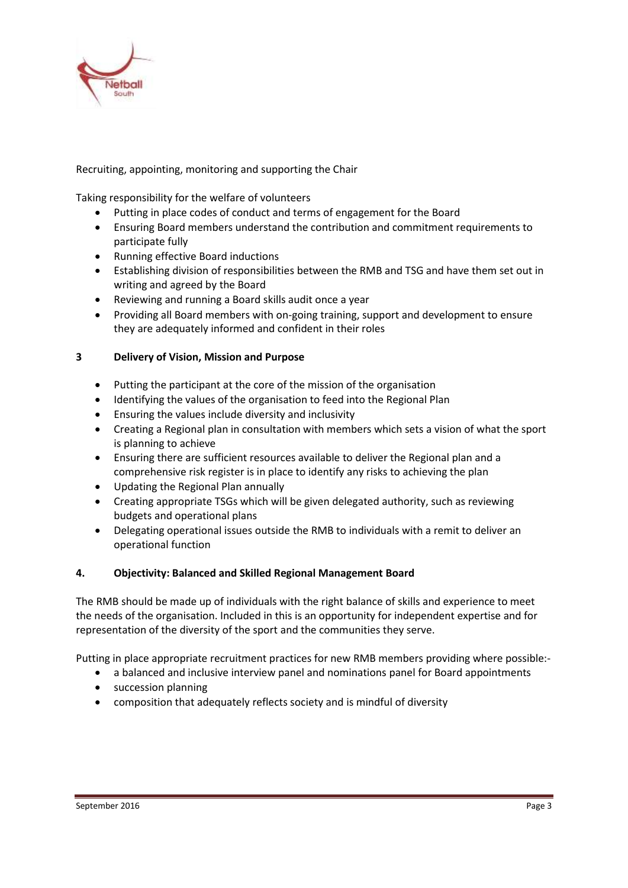

# Recruiting, appointing, monitoring and supporting the Chair

Taking responsibility for the welfare of volunteers

- Putting in place codes of conduct and terms of engagement for the Board
- Ensuring Board members understand the contribution and commitment requirements to participate fully
- Running effective Board inductions
- Establishing division of responsibilities between the RMB and TSG and have them set out in writing and agreed by the Board
- Reviewing and running a Board skills audit once a year
- Providing all Board members with on-going training, support and development to ensure they are adequately informed and confident in their roles

## **3 Delivery of Vision, Mission and Purpose**

- Putting the participant at the core of the mission of the organisation
- Identifying the values of the organisation to feed into the Regional Plan
- Ensuring the values include diversity and inclusivity
- Creating a Regional plan in consultation with members which sets a vision of what the sport is planning to achieve
- Ensuring there are sufficient resources available to deliver the Regional plan and a comprehensive risk register is in place to identify any risks to achieving the plan
- Updating the Regional Plan annually
- Creating appropriate TSGs which will be given delegated authority, such as reviewing budgets and operational plans
- Delegating operational issues outside the RMB to individuals with a remit to deliver an operational function

## **4. Objectivity: Balanced and Skilled Regional Management Board**

The RMB should be made up of individuals with the right balance of skills and experience to meet the needs of the organisation. Included in this is an opportunity for independent expertise and for representation of the diversity of the sport and the communities they serve.

Putting in place appropriate recruitment practices for new RMB members providing where possible:-

- a balanced and inclusive interview panel and nominations panel for Board appointments
- succession planning
- composition that adequately reflects society and is mindful of diversity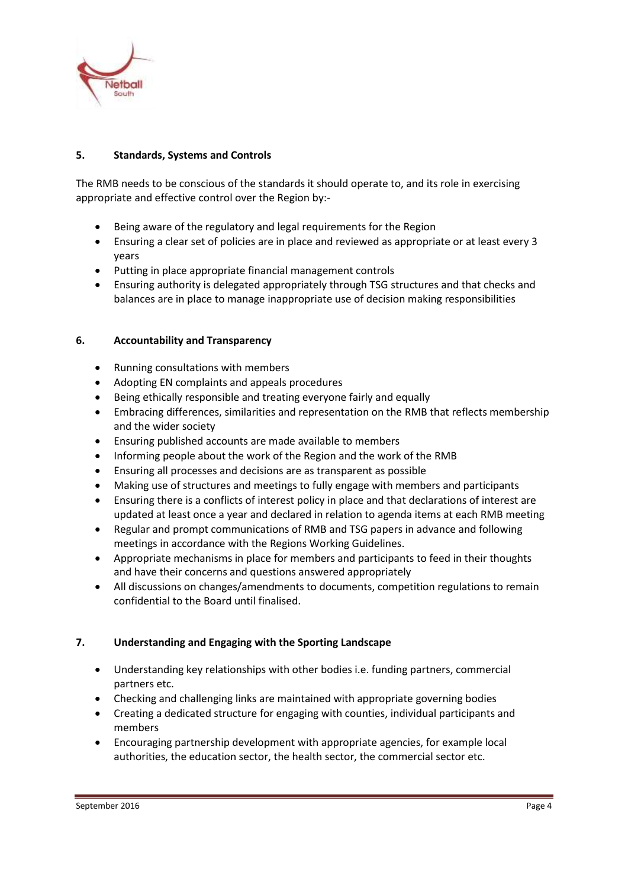

# **5. Standards, Systems and Controls**

The RMB needs to be conscious of the standards it should operate to, and its role in exercising appropriate and effective control over the Region by:-

- Being aware of the regulatory and legal requirements for the Region
- Ensuring a clear set of policies are in place and reviewed as appropriate or at least every 3 years
- Putting in place appropriate financial management controls
- Ensuring authority is delegated appropriately through TSG structures and that checks and balances are in place to manage inappropriate use of decision making responsibilities

# **6. Accountability and Transparency**

- Running consultations with members
- Adopting EN complaints and appeals procedures
- Being ethically responsible and treating everyone fairly and equally
- Embracing differences, similarities and representation on the RMB that reflects membership and the wider society
- Ensuring published accounts are made available to members
- Informing people about the work of the Region and the work of the RMB
- Ensuring all processes and decisions are as transparent as possible
- Making use of structures and meetings to fully engage with members and participants
- Ensuring there is a conflicts of interest policy in place and that declarations of interest are updated at least once a year and declared in relation to agenda items at each RMB meeting
- Regular and prompt communications of RMB and TSG papers in advance and following meetings in accordance with the Regions Working Guidelines.
- Appropriate mechanisms in place for members and participants to feed in their thoughts and have their concerns and questions answered appropriately
- All discussions on changes/amendments to documents, competition regulations to remain confidential to the Board until finalised.

# **7. Understanding and Engaging with the Sporting Landscape**

- Understanding key relationships with other bodies i.e. funding partners, commercial partners etc.
- Checking and challenging links are maintained with appropriate governing bodies
- Creating a dedicated structure for engaging with counties, individual participants and members
- Encouraging partnership development with appropriate agencies, for example local authorities, the education sector, the health sector, the commercial sector etc.